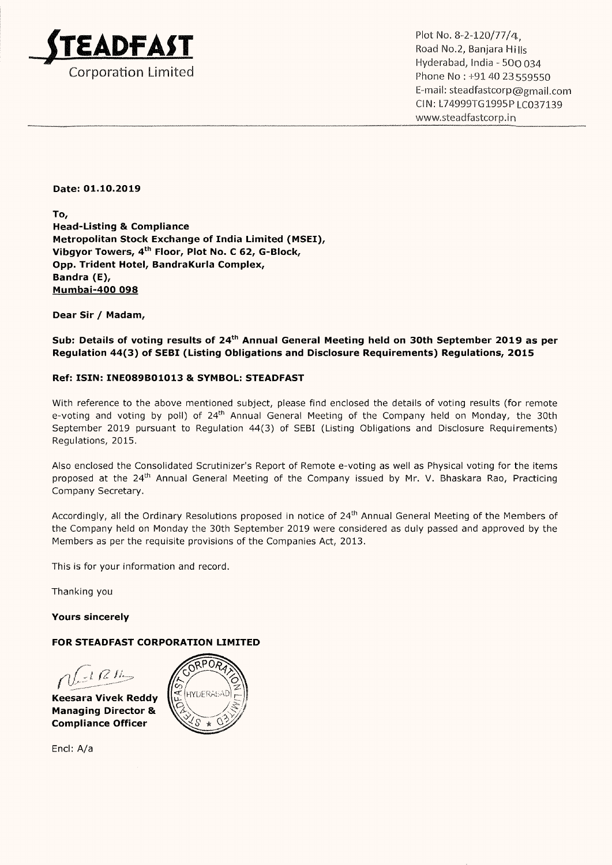

. . . Hyderabad, India <sup>~</sup> 500 034 Corporation Limited **Phone No : +91 40 23559550** Email: steadfastcorp@gmail.com ClN: L74999T61995P LC037139 www.steadfastcorp.in

#### Date: 01.10.2019

To, Head-Listing & Compliance Metropolitan Stock Exchange of India Limited (MSEI), Vibgyor Towers, 4th Floor, Plot No. <sup>C</sup> 62, G-Block, Opp. Trident Hotel, BandraKurla Complex, Bandra (E), Mumbai-400 098

Dear Sir / Madam,

Sub: Details of voting results of 24<sup>th</sup> Annual General Meeting held on 30th September 2019 as per Regulation 44(3) of SEBI (Listing Obligations and Disclosure Requirements) Regulations, 2015

#### Ref: ISIN: INE089301013 & SYMBOL: STEADFAST

With reference to the above mentioned subject, please find enclosed the details of voting results (for remote e-voting and voting by poll) of 24<sup>th</sup> Annual General Meeting of the Company held on Monday, the 30th September 2019 pursuant to Regulation 44(3) of SEBI (Listing Obligations and Disclosure Requirements) Regulations, 2015.

Also enclosed the Consolidated Scrutinizer's Report of Remote e-voting as well as Physical voting for the items proposed at the 24<sup>th</sup> Annual General Meeting of the Company issued by Mr. V. Bhaskara Rao, Practicing Company Secretary.

Accordingly, all the Ordinary Resolutions proposed in notice of 24<sup>th</sup> Annual General Meeting of the Members of the Company held on Monday the 30th September 2019 were considered as duly passed and approved by the Members as per the requisite provisions of the Companies Act, 2013.

This is for your information and record.

Thanking you

Yours sincerely

#### FOR STEADFAST CORPORATION LIMITED

 $(12k)$ 

Keesara Vivek Reddy Managing Director & Compliance Officer

Encl: A/a

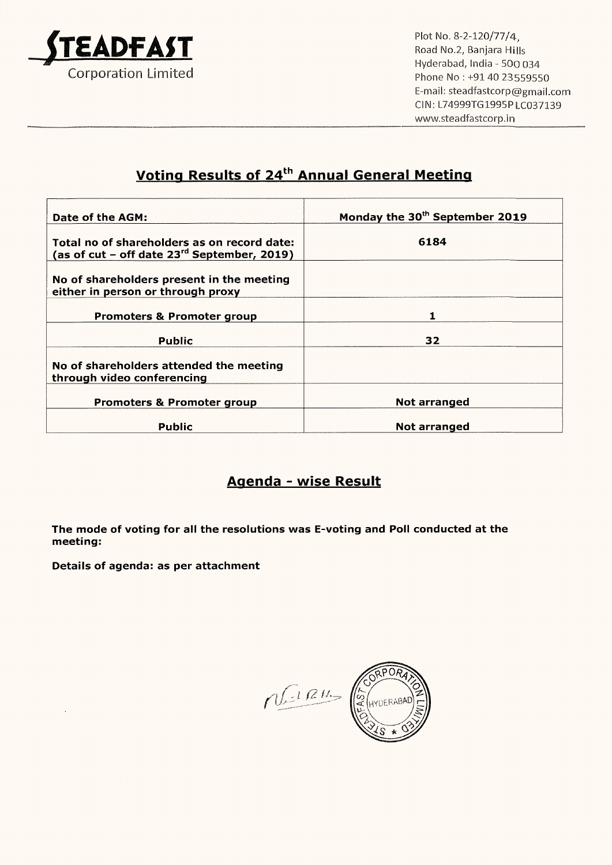

Plot No. 8~2~120/77/4, Road No.2, Banjara Hills Hyderabad, lndia <sup>~</sup> 500 034 Phone No : +91 40 23559550 Email: steadfastcorp@gmail.com CIN: L74999T61995PLC037139 www.steadfastcorp.in

# Voting Results of 24<sup>th</sup> Annual General Meeting

| Date of the AGM:                                                                                | Monday the 30 <sup>th</sup> September 2019 |
|-------------------------------------------------------------------------------------------------|--------------------------------------------|
| Total no of shareholders as on record date:<br>(as of cut – off date $23^{rd}$ September, 2019) | 6184                                       |
| No of shareholders present in the meeting<br>either in person or through proxy                  |                                            |
| <b>Promoters &amp; Promoter group</b>                                                           |                                            |
| Public                                                                                          | 32                                         |
| No of shareholders attended the meeting<br>through video conferencing                           |                                            |
| <b>Promoters &amp; Promoter group</b>                                                           | Not arranged                               |
| Public                                                                                          | Not arranged                               |

# <u> Agenda - wise Result</u>

The mode of voting for all the resolutions was E-voting and Poll conducted at the meeting:

Details of agenda: as per attachment

0R)  $n$ AVOERABADE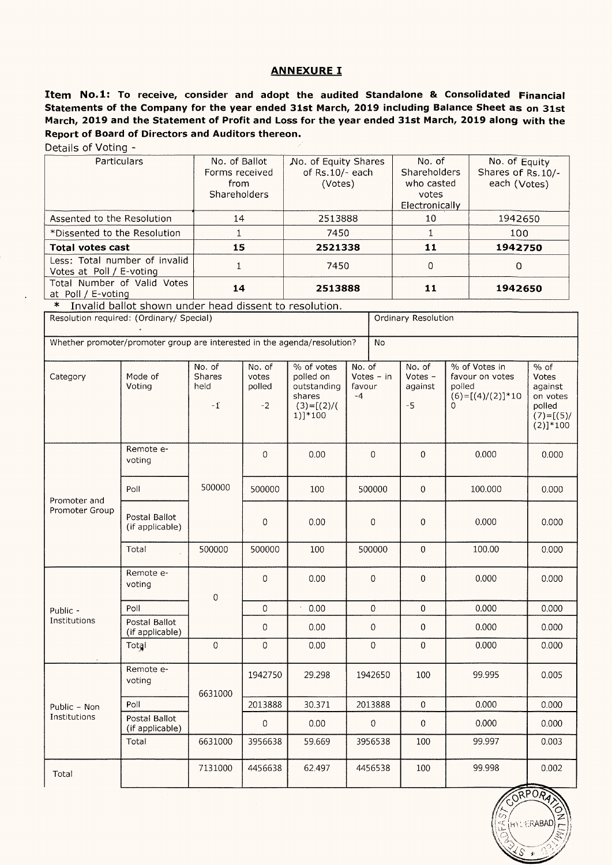#### ANNEXURE I

Item No.1: To receive, consider and adopt the audited Standalone & Consolidated Financial Statements of the Company for the year ended 3lst March, 2019 including Balance Sheet as on 31st March, 2019 and the Statement of Profit and Loss for the year ended 315t March, 2019 along with the Report of Board of Directors and Auditors thereon.

Details of Voting -

| <b>Particulars</b>                                        | No. of Ballot<br>Forms received<br>from<br>Shareholders | No. of Equity Shares<br>of Rs.10/- each<br>(Votes) | No. of<br>Shareholders<br>who casted<br>votes<br>Electronically | No. of Equity<br>Shares of Rs.10/-<br>each (Votes) |
|-----------------------------------------------------------|---------------------------------------------------------|----------------------------------------------------|-----------------------------------------------------------------|----------------------------------------------------|
| Assented to the Resolution                                | 14                                                      | 2513888                                            | 10                                                              | 1942650                                            |
| *Dissented to the Resolution                              |                                                         | 7450                                               |                                                                 | 100                                                |
| <b>Total votes cast</b>                                   | 15                                                      | 2521338                                            | 11                                                              | 1942750                                            |
| Less: Total number of invalid<br>Votes at Poll / E-voting |                                                         | 7450                                               | $\Omega$                                                        |                                                    |
| Total Number of Valid Votes<br>at Poll / E-voting         | 14                                                      | 2513888                                            | 11                                                              | 1942650                                            |

\* Invalid ballot shown under head dissent to resolution.

| Resolution required: (Ordinary/ Special)                                 |                                  |                                  |                                   |                                                                               |                          | Ordinary Resolution |                                      |                                                                              |                                                                                  |
|--------------------------------------------------------------------------|----------------------------------|----------------------------------|-----------------------------------|-------------------------------------------------------------------------------|--------------------------|---------------------|--------------------------------------|------------------------------------------------------------------------------|----------------------------------------------------------------------------------|
| Whether promoter/promoter group are interested in the agenda/resolution? |                                  |                                  |                                   |                                                                               |                          | <b>No</b>           |                                      |                                                                              |                                                                                  |
| Category                                                                 | Mode of<br>Voting                | No. of<br>Shares<br>held<br>$-1$ | No. of<br>votes<br>polled<br>$-2$ | % of votes<br>polled on<br>outstanding<br>shares<br>$(3)=[(2)/($<br>$1)]*100$ | No. of<br>favour<br>$-4$ | Votes $-$ in        | No. of<br>Votes -<br>against<br>$-5$ | % of Votes in<br>favour on votes<br>polled<br>$(6)=[(4)/(2)]*10$<br>$\Omega$ | $%$ of<br>Votes<br>against<br>on votes<br>polled<br>$(7) = [(5) /$<br>$(2)]*100$ |
|                                                                          | Remote e-<br>voting              |                                  | $\Omega$                          | 0.00                                                                          |                          | $\Omega$            | $\mathbf 0$                          | 0.000                                                                        | 0.000                                                                            |
| Promoter and                                                             | Poll                             | 500000                           | 500000                            | 100                                                                           |                          | 500000              | $\mathbf 0$                          | 100.000                                                                      | 0.000                                                                            |
| Promoter Group                                                           | Postal Ballot<br>(if applicable) |                                  | $\Omega$                          | 0.00                                                                          |                          | $\mathbf 0$         | $\overline{0}$                       | 0.000                                                                        | 0.000                                                                            |
|                                                                          | Total                            | 500000                           | 500000                            | 100                                                                           | 500000                   |                     | $\mathbf 0$                          | 100.00                                                                       | 0.000                                                                            |
|                                                                          | Remote e-<br>voting              | $\mathbf 0$                      | $\mathbf 0$                       | 0.00                                                                          |                          | 0                   | $\mathbf 0$                          | 0.000                                                                        | 0.000                                                                            |
| Public -                                                                 | Poll                             |                                  | $\mathbf 0$                       | 0.00                                                                          |                          | $\boldsymbol{0}$    | $\mathbf 0$                          | 0.000                                                                        | 0.000                                                                            |
| Institutions                                                             | Postal Ballot<br>(if applicable) |                                  | $\mathbf 0$                       | 0.00                                                                          |                          | $\mathbf 0$         | $\mathbf 0$                          | 0.000                                                                        | 0.000                                                                            |
|                                                                          | Total                            | 0                                | $\mathbf 0$                       | 0.00                                                                          |                          | $\mathbf 0$         | $\Omega$                             | 0.000                                                                        | 0.000                                                                            |
|                                                                          | Remote e-<br>voting              | 6631000                          | 1942750                           | 29.298                                                                        |                          | 1942650             | 100                                  | 99.995                                                                       | 0.005                                                                            |
| Public - Non                                                             | Poll                             |                                  | 2013888                           | 30.371                                                                        |                          | 2013888             | $\overline{0}$                       | 0.000                                                                        | 0.000                                                                            |
| Institutions                                                             | Postal Ballot<br>(if applicable) |                                  | 0                                 | 0.00                                                                          |                          | $\overline{0}$      | $\mathbf 0$                          | 0.000                                                                        | 0.000                                                                            |
|                                                                          | Total                            | 6631000                          | 3956638                           | 59.669                                                                        |                          | 3956538             | 100                                  | 99.997                                                                       | 0.003                                                                            |
| Total                                                                    |                                  | 7131000                          | 4456638                           | 62.497                                                                        |                          | 4456538             | 100                                  | 99.998                                                                       | 0.002                                                                            |

ORPOR HYL ERABAD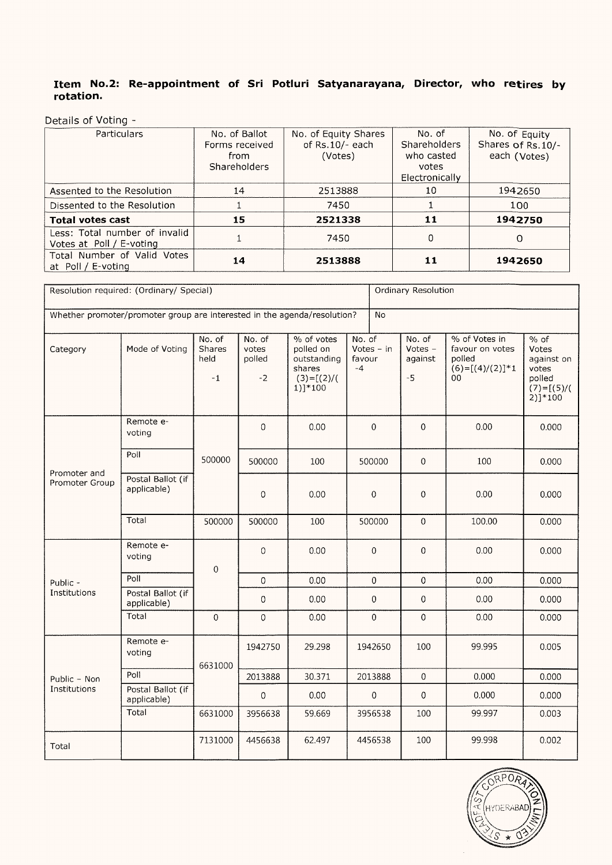#### Item No.2: Re-appointment of Sri Potluri Satyanarayana, Director, who retires by rotation.

Details of Voting -

| Particulars                                               | No. of Ballot<br>Forms received<br>from<br>Shareholders | No. of Equity Shares<br>of Rs.10/- each<br>(Votes) | No. of<br>Shareholders<br>who casted<br>votes<br>Electronically | No. of Equity<br>Shares of Rs.10/-<br>each (Votes) |
|-----------------------------------------------------------|---------------------------------------------------------|----------------------------------------------------|-----------------------------------------------------------------|----------------------------------------------------|
| Assented to the Resolution                                | 14                                                      | 2513888                                            | 10                                                              | 1942650                                            |
| Dissented to the Resolution                               |                                                         | 7450                                               |                                                                 | 100                                                |
| <b>Total votes cast</b>                                   | 15                                                      | 2521338                                            | 11                                                              | 1942750                                            |
| Less: Total number of invalid<br>Votes at Poll / E-voting |                                                         | 7450                                               | 0                                                               | O                                                  |
| Total Number of Valid Votes<br>at Poll / E-voting         | 14                                                      | 2513888                                            | 11                                                              | 1942650                                            |

| Resolution required: (Ordinary/ Special)                                              |                                  |                                  |                                   | Ordinary Resolution                                                                        |                          |                     |                                        |                                                                       |                                                                                           |
|---------------------------------------------------------------------------------------|----------------------------------|----------------------------------|-----------------------------------|--------------------------------------------------------------------------------------------|--------------------------|---------------------|----------------------------------------|-----------------------------------------------------------------------|-------------------------------------------------------------------------------------------|
| Whether promoter/promoter group are interested in the agenda/resolution?<br><b>No</b> |                                  |                                  |                                   |                                                                                            |                          |                     |                                        |                                                                       |                                                                                           |
| Category                                                                              | Mode of Voting                   | No. of<br>Shares<br>held<br>$-1$ | No. of<br>votes<br>polled<br>$-2$ | $\frac{9}{6}$ of votes<br>polled on<br>outstanding<br>shares<br>$(3)=[(2)/($<br>$1)$ ]*100 | No. of<br>favour<br>$-4$ | Votes - in          | No. of<br>Votes $-$<br>against<br>$-5$ | % of Votes in<br>favour on votes<br>polled<br>$(6)=[(4)/(2)]*1$<br>00 | $\overline{\%}$ of<br>Votes<br>against on<br>votes<br>polled<br>$(7)=[(5)/($<br>$2)]*100$ |
|                                                                                       | Remote e-<br>voting              |                                  | $\mathbf 0$                       | 0.00                                                                                       |                          | $\mathbf 0$         | $\mathbf 0$                            | 0.00                                                                  | 0.000                                                                                     |
|                                                                                       | Poll                             | 500000                           | 500000                            | 100                                                                                        |                          | 500000              | $\mathbf 0$                            | 100                                                                   | 0.000                                                                                     |
| Promoter and<br>Promoter Group                                                        | Postal Ballot (if<br>applicable) |                                  | $\mathbf 0$                       | 0.00                                                                                       |                          | $\boldsymbol{0}$    | $\overline{0}$                         | 0.00                                                                  | 0.000                                                                                     |
|                                                                                       | Total                            | 500000                           | 500000                            | 100                                                                                        |                          | 500000              | $\boldsymbol{0}$                       | 100.00                                                                | 0.000                                                                                     |
|                                                                                       | Remote e-<br>voting              | $\mbox{O}$                       | $\mathbf 0$                       | 0.00                                                                                       |                          | $\mathbf 0$         | $\boldsymbol{0}$                       | 0.00                                                                  | 0.000                                                                                     |
| Public -                                                                              | Poll                             |                                  | $\mathbf 0$                       | 0.00                                                                                       |                          | $\overline{0}$      | $\mathbf 0$                            | 0.00                                                                  | 0.000                                                                                     |
| Institutions                                                                          | Postal Ballot (if<br>applicable) |                                  | $\mathbf 0$                       | 0.00                                                                                       |                          | $\mathbf 0$         | $\mathbf 0$                            | 0.00                                                                  | 0.000                                                                                     |
|                                                                                       | Total                            | $\mathbf 0$                      | $\,0\,$                           | 0.00                                                                                       |                          | $\mathsf{O}\xspace$ | $\mathbf 0$                            | 0.00                                                                  | 0.000                                                                                     |
|                                                                                       | Remote e-<br>voting              | 6631000                          | 1942750                           | 29.298                                                                                     |                          | 1942650             | 100                                    | 99.995                                                                | 0.005                                                                                     |
| Public - Non                                                                          | Poll                             |                                  | 2013888                           | 30.371                                                                                     |                          | 2013888             | $\overline{0}$                         | 0.000                                                                 | 0.000                                                                                     |
| Institutions                                                                          | Postal Ballot (if<br>applicable) |                                  | $\boldsymbol{0}$                  | 0.00                                                                                       |                          | 0                   | $\overline{0}$                         | 0.000                                                                 | 0.000                                                                                     |
|                                                                                       | Total                            | 6631000                          | 3956638                           | 59.669                                                                                     |                          | 3956538             | 100                                    | 99.997                                                                | 0.003                                                                                     |
| Total                                                                                 |                                  | 7131000                          | 4456638                           | 62.497                                                                                     |                          | 4456538             | 100                                    | 99.998                                                                | 0.002                                                                                     |

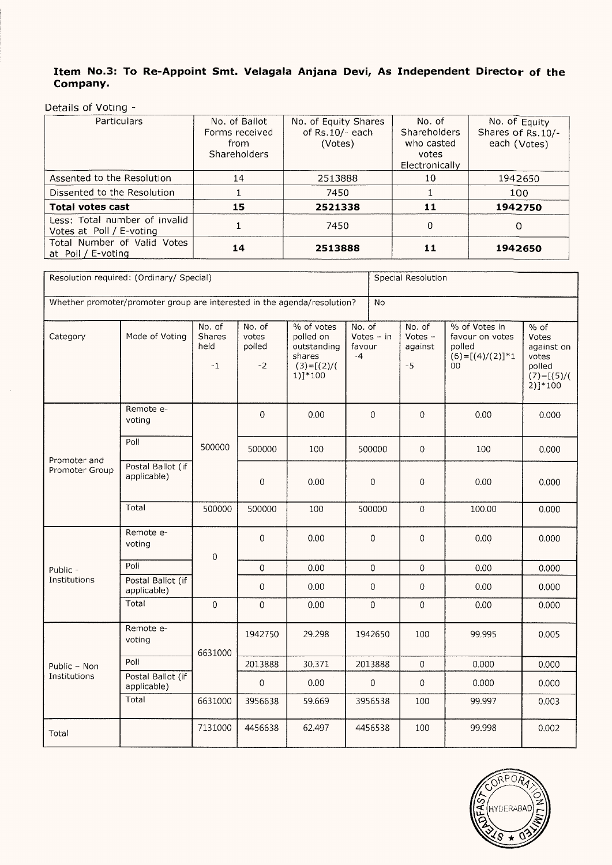#### Item No.3: To Re-Appoint Smt. Velagala Anjana Devi, As Independent Director of the Company.

Details of Voting —

| Particulars                                               | No. of Ballot<br>Forms received<br>from<br><b>Shareholders</b> | No. of Equity Shares<br>of Rs.10/- each<br>(Votes) | No. of<br>Shareholders<br>who casted<br>votes<br>Electronically | No. of Equity<br>Shares of Rs.10/-<br>each (Votes) |
|-----------------------------------------------------------|----------------------------------------------------------------|----------------------------------------------------|-----------------------------------------------------------------|----------------------------------------------------|
| Assented to the Resolution                                | 14                                                             | 2513888                                            | 10                                                              | 1942650                                            |
| Dissented to the Resolution                               |                                                                | 7450                                               |                                                                 | 100                                                |
| <b>Total votes cast</b>                                   | 15                                                             | 2521338                                            | 11                                                              | 1942750                                            |
| Less: Total number of invalid<br>Votes at Poll / E-voting |                                                                | 7450                                               | 0                                                               | O                                                  |
| Total Number of Valid Votes<br>at Poll / E-voting         | 14                                                             | 2513888                                            | 11                                                              | 1942650                                            |

| Resolution required: (Ordinary/ Special)                                              |                                  |                                  |                                   |                                                                                    | Special Resolution       |                  |                                      |                                                                       |                                                                                  |
|---------------------------------------------------------------------------------------|----------------------------------|----------------------------------|-----------------------------------|------------------------------------------------------------------------------------|--------------------------|------------------|--------------------------------------|-----------------------------------------------------------------------|----------------------------------------------------------------------------------|
| Whether promoter/promoter group are interested in the agenda/resolution?<br><b>No</b> |                                  |                                  |                                   |                                                                                    |                          |                  |                                      |                                                                       |                                                                                  |
| Category                                                                              | Mode of Voting                   | No. of<br>Shares<br>held<br>$-1$ | No. of<br>votes<br>polled<br>$-2$ | $%$ of votes<br>polled on<br>outstanding<br>shares<br>$(3)=[(2)/($<br>$1)$ ] * 100 | No. of<br>favour<br>$-4$ | Votes - in       | No. of<br>Votes -<br>against<br>$-5$ | % of Votes in<br>favour on votes<br>polled<br>$(6)=[(4)/(2)]*1$<br>00 | $%$ of<br>Votes<br>against on<br>votes<br>polled<br>$(7)=[(5)/($<br>$2)$ ] * 100 |
|                                                                                       | Remote e-<br>voting              |                                  | 0                                 | 0.00                                                                               |                          | 0                | 0                                    | 0.00                                                                  | 0.000                                                                            |
| Promoter and                                                                          | Poll                             | 500000                           | 500000                            | 100                                                                                |                          | 500000           | $\mathbf 0$                          | 100                                                                   | 0.000                                                                            |
| Promoter Group                                                                        | Postal Ballot (if<br>applicable) |                                  | 0                                 | 0.00                                                                               |                          | $\boldsymbol{0}$ | 0                                    | 0.00                                                                  | 0.000                                                                            |
|                                                                                       | Total                            | 500000                           | 500000                            | 100                                                                                |                          | 500000           | $\mathbf 0$                          | 100.00                                                                | 0.000                                                                            |
|                                                                                       | Remote e-<br>voting              | 0                                | $\overline{0}$                    | 0.00                                                                               |                          | $\overline{0}$   | 0                                    | 0.00                                                                  | 0.000                                                                            |
| Public -                                                                              | Poll                             |                                  | $\mathbf 0$                       | 0.00                                                                               |                          | $\mathbf{0}$     | $\mathbf 0$                          | 0.00                                                                  | 0.000                                                                            |
| Institutions                                                                          | Postal Ballot (if<br>applicable) |                                  | $\,0\,$                           | 0.00                                                                               |                          | $\,0\,$          | 0                                    | 0.00                                                                  | 0.000                                                                            |
|                                                                                       | Total                            | $\Omega$                         | $\boldsymbol{0}$                  | 0.00                                                                               |                          | $\mathbf 0$      | $\mathbf 0$                          | 0.00                                                                  | 0.000                                                                            |
|                                                                                       | Remote e-<br>voting              | 6631000                          | 1942750                           | 29.298                                                                             |                          | 1942650          | 100                                  | 99.995                                                                | 0.005                                                                            |
| Public - Non                                                                          | Poll                             |                                  | 2013888                           | 30.371                                                                             |                          | 2013888          | $\mathbf 0$                          | 0.000                                                                 | 0.000                                                                            |
| Institutions                                                                          | Postal Ballot (if<br>applicable) |                                  | $\boldsymbol{0}$                  | 0.00                                                                               |                          | $\boldsymbol{0}$ | $\pmb{0}$                            | 0.000                                                                 | 0.000                                                                            |
|                                                                                       | Total                            | 6631000                          | 3956638                           | 59.669                                                                             |                          | 3956538          | 100                                  | 99.997                                                                | 0.003                                                                            |
| Total                                                                                 |                                  | 7131000                          | 4456638                           | 62.497                                                                             |                          | 4456538          | 100                                  | 99.998                                                                | 0.002                                                                            |

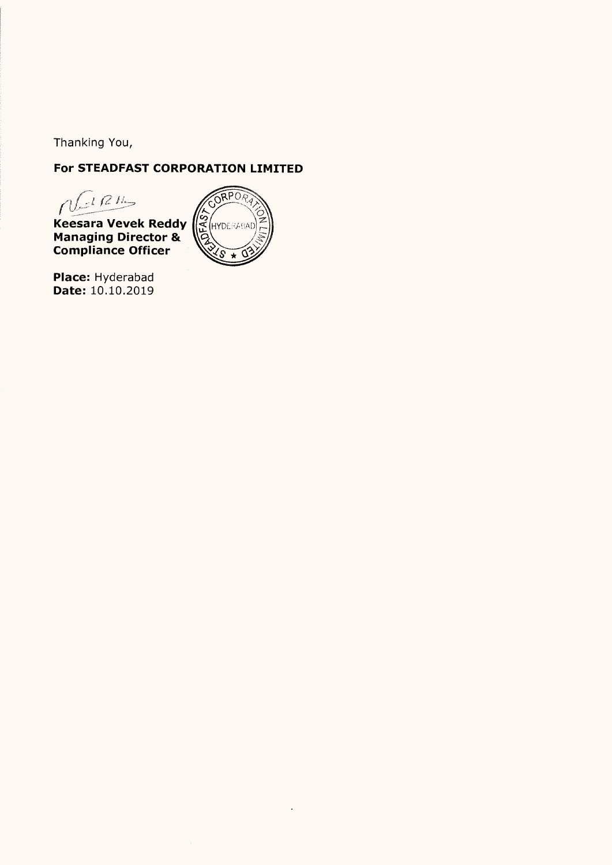Thanking You,

# For STEADFAST CORPORATION LIMITED

 $N^{122}$ 

Keesara Vevek Reddy<br>Managing Director &<br>Compliance Officer



Place: Hyderabad<br>Date: 10.10.2019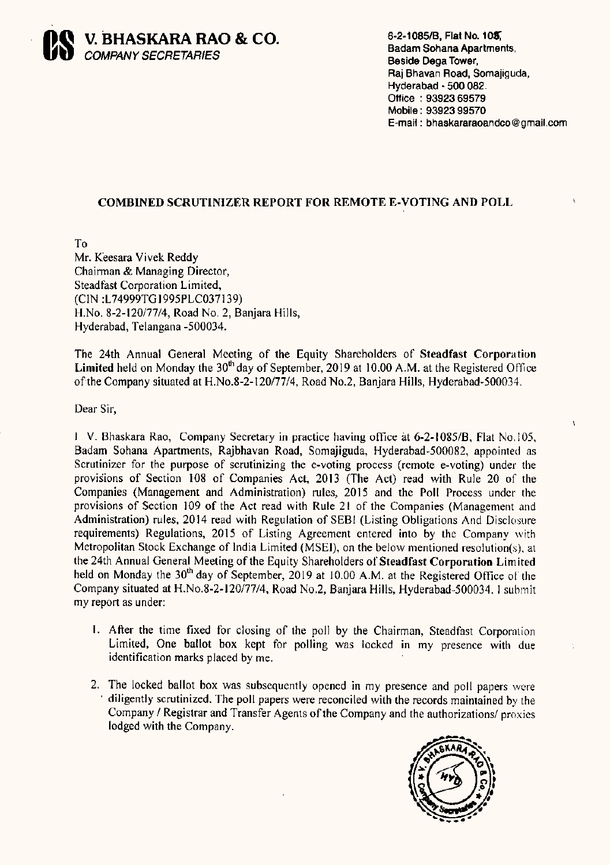

Badam Sohana Apartments. Beside Dega Tower. Raj Bhavan Road, Somajiguda, Hyderabad - 500 082. Office: 93923 69579 Mobile: 93923 99570 E-mail : bhaskararaoandco@gmail.com

À

## COMBINED SCRUTINIZER REPORT FOR REMOTE E-VOTING AND POLL

To Mr. Keesara Vivek Reddy Chairman & Managing Director, Steadfast Corporation Limited, (CIN :L74999T61995PLC037139) H.No. 8-2-120/77/4, Road No. 2, Banjara Hills, Hyderabad, Telangana —500034.

The 24th Annual General Meeting of the Equity Shareholders of Steadfast Corporation Limited held on Monday the  $30<sup>th</sup>$  day of September, 2019 at 10.00 A.M. at the Registered Office ofthe Company situated at H.No.8-2-120/77/4, Road No.2, Banjara Hills, Hyderabad-500034.

Dear Sir,

IV. Bhaskara Rao, Company Secretary in practice having office at 6-2-1085/B, Flat No.105, Badam Sohana Apartments, Rajbhavan Road, Somajiguda, Hyderabad-500082, appointed as Scrutinizer for the purpose of scrutinizing the e-voting process (remote e-voting) under the provisions of Section <sup>108</sup> of Companies Act, <sup>2013</sup> (The Act) read with Rule <sup>20</sup> of the Companies (Management and Administration) rules, 2015 and the Poll Process under the provisions of Section <sup>109</sup> of the Act read with Rule <sup>21</sup> of the Companies (Management and Administration) rules, <sup>2014</sup> read with Regulation of SEBl (Listing Obligations And Disclosure requirements) Regulations, <sup>2015</sup> of Listing Agreement entered into by the Company with Metropolitan Stock Exchange of India Limited (MSEI), on the below mentioned resolution(s), at the 24th Annual General Meeting of the Equity Shareholders of Steadfast Corporation Limited held on Monday the 30<sup>th</sup> day of September, 2019 at 10.00 A.M. at the Registered Office of the Company situated at H.No.8-2-120/77/4, Road N02, Banjara Hills, Hyderabad—500034. <sup>1</sup> submit my report as under:

- Afier the time fixed for closing of the poll by the Chairman, Steadfast Corporation Limited, One ballot box kept for polling was locked in my presence with due identification marks placed by me.
- 2. The locked ballot box was subsequently opened in my presence and poll papers were ' diligently scrutinized. The poll papers were reconciled with the records maintained by the Company / Registrar and Transfer Agents of the Company and the authorizations/ proxies lodged with the Company.

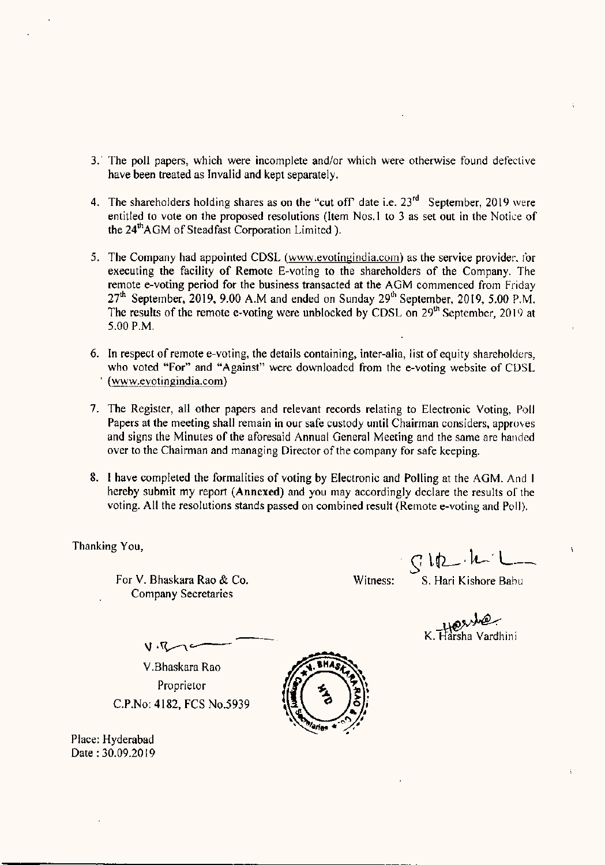- 3.' The poll papers, which were incomplete and/or which were otherwise found defective have been treated as invalid and kept separately.
- 4. The shareholders holding shares as on the "cut off" date i.e.  $23<sup>rd</sup>$  September, 2019 were entitled to vote on the proposed resolutions (Item Nos.1 to 3 as set out in the Notice of the 24<sup>th</sup> AGM of Steadfast Corporation Limited ).
- 5. The Company had appointed CDSL (www.evotingindia.com) as the service provider, for executing the facility of Remote E-voting to the shareholders of the Company. The remote e-voting period for the business transacted at the AGM commenced from Friday  $27<sup>th</sup>$  September, 2019, 9.00 A.M and ended on Sunday  $29<sup>th</sup>$  September, 2019, 5.00 P.M. The results of the remote e-voting were unblocked by CDSL on 29<sup>th</sup> September, 2019 at 500 PM,
- 6. In respect of remote e-voting, the details containing, inter-alia, list of equity shareholders, who voted "For" and "Against" were downloaded from the e-voting website of CDSL (www.evotingindia.com)
- 7. The Register, all other papers and relevant records relating to Electronic Voting, Poll Papers at the meeting shall remain in our safe custody until Chairman considers, approves and signs the Minutes of the aforesaid Annual General Meeting and the same are handed over to the Chairman and managing Director of the company for safe keeping.
- 8. <sup>1</sup> have completed the formalities of voting by Electronic and Polling at the AGM. And <sup>I</sup> hereby submit my report (Annexed) and you may accordingly declare the results of the voting, All the resolutions stands passed on combined result (Remote e-voting and P011).

Thanking You,

For V. Bhaskara Rao & Co. Witness: S. Hari Kishore Babu Company Secretaries

 $g_{11} + h_{12}$ 

we<br>K. Harsha Vardhini

 $\nabla$ V.Bhaskara Rao Proprietor C,P,No: 4182, FCS No.5939

 $\mathbf{v} \cdot \mathbf{v}$ 

Place: Hyderabad Date :30.09.2019

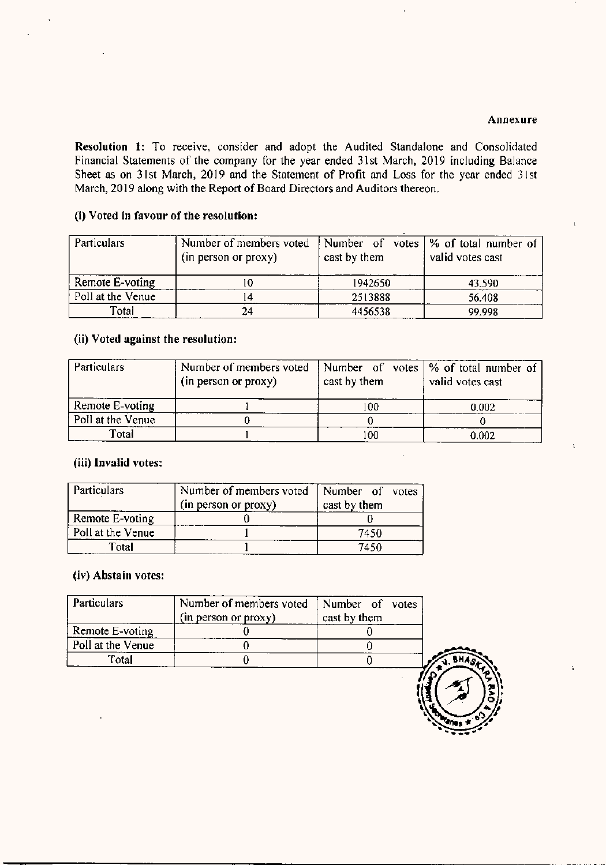#### Annexure

Ä

Resolution 1: To receive, consider and adopt the Audited Standalone and Consolidated Financial Statements of the company for the year ended 3lst March, 2019 including Balance Sheet as on 31st March, 2019 and the Statement of Profit and Loss for the year ended 31st March, 2019 along with the Report of Board Directors and Auditors thereon.

#### (i) Voted in favour of the resolution:

| <b>Particulars</b> | Number of members voted<br>(in person or proxy) | cast by them | Number of votes $\frac{1}{6}$ of total number of<br>valid votes cast |
|--------------------|-------------------------------------------------|--------------|----------------------------------------------------------------------|
| Remote E-voting    |                                                 | 1942650      | 43.590                                                               |
| Poll at the Venue  |                                                 | 2513888      | 56.408                                                               |
| Total              | 24                                              | 4456538      | 99.998                                                               |

#### (ii) Voted against the resolution:

| <b>Particulars</b> | Number of members voted<br>(in person or proxy) | cast by them | Number of votes $\frac{9}{6}$ of total number of<br>valid votes cast |
|--------------------|-------------------------------------------------|--------------|----------------------------------------------------------------------|
| Remote E-voting    |                                                 | 100          | 0.002                                                                |
| Poll at the Venue  |                                                 |              |                                                                      |
| Total              |                                                 | 100          | 0.002                                                                |

#### (iii) Invalid votes:

| Particulars       | Number of members voted<br>(in person or proxy) | Number of votes<br>cast by them |
|-------------------|-------------------------------------------------|---------------------------------|
| Remote E-voting   |                                                 |                                 |
| Poll at the Venue |                                                 | 7450                            |
| Total             |                                                 | 7450                            |

#### (iv) Abstain votes:

| (in person or proxy) | cast by them |  |
|----------------------|--------------|--|
|                      |              |  |
|                      |              |  |
|                      |              |  |
|                      |              |  |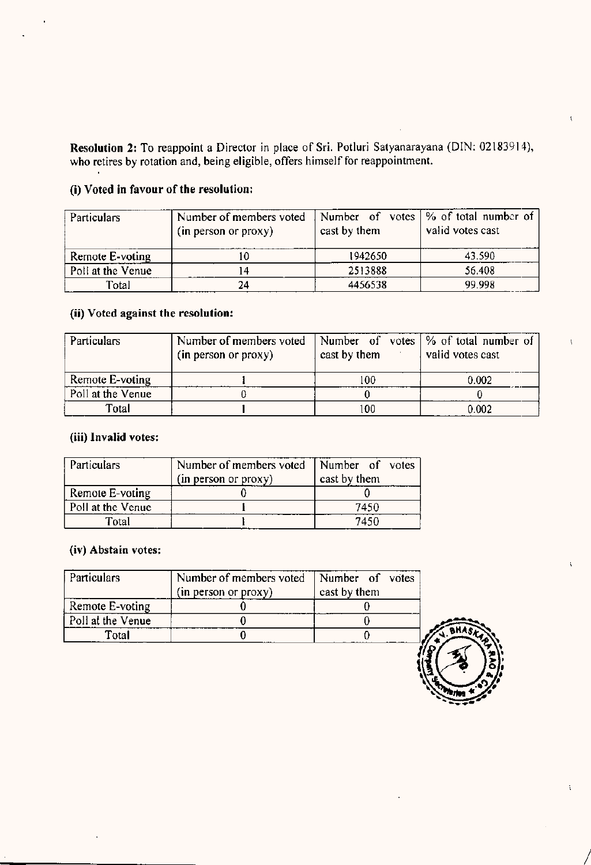Resolution 2: To reappoint <sup>a</sup> Director in place of Sri. Potluri Satyanarayana (DIN: 02183914), who retires by rotation and, being eligible, offers himself for reappointment.

## (i) Voted in favour of the resolution:

| <b>Particulars</b> | Number of members voted<br>(in person or proxy) | cast by them | Number of votes $\frac{1}{2}$ of total number of<br>valid votes cast |
|--------------------|-------------------------------------------------|--------------|----------------------------------------------------------------------|
| Remote E-voting    | ΙU                                              | 1942650      | 43.590                                                               |
| Poll at the Venue  | 4                                               | 2513888      | 56.408                                                               |
| Total              | 24                                              | 4456538      | 99.998                                                               |

## (ii) Voted against the resolution:

| <b>Particulars</b> | Number of members voted<br>(in person or proxy) | cast by them | Number of votes $\frac{1}{2}$ of total number of<br>valid votes cast |
|--------------------|-------------------------------------------------|--------------|----------------------------------------------------------------------|
| Remote E-voting    |                                                 | 100          | 0.002                                                                |
| Poll at the Venue  |                                                 |              |                                                                      |
| Total              |                                                 | 100          | 0.002                                                                |

## (iii) Invalid votes:

| <b>Particulars</b> | Number of members voted<br>(in person or proxy) | Number of votes<br>cast by them |
|--------------------|-------------------------------------------------|---------------------------------|
| Remote E-voting    |                                                 |                                 |
| Poll at the Venue  |                                                 | 7450                            |
| Total              |                                                 | 7450                            |

#### (iv) Abstain votes:

| Particulars       | Number of members voted<br>(in person or proxy) | Number of votes<br>cast by them |
|-------------------|-------------------------------------------------|---------------------------------|
| Remote E-voting   |                                                 |                                 |
| Poll at the Venue |                                                 |                                 |
| Fotal             |                                                 |                                 |

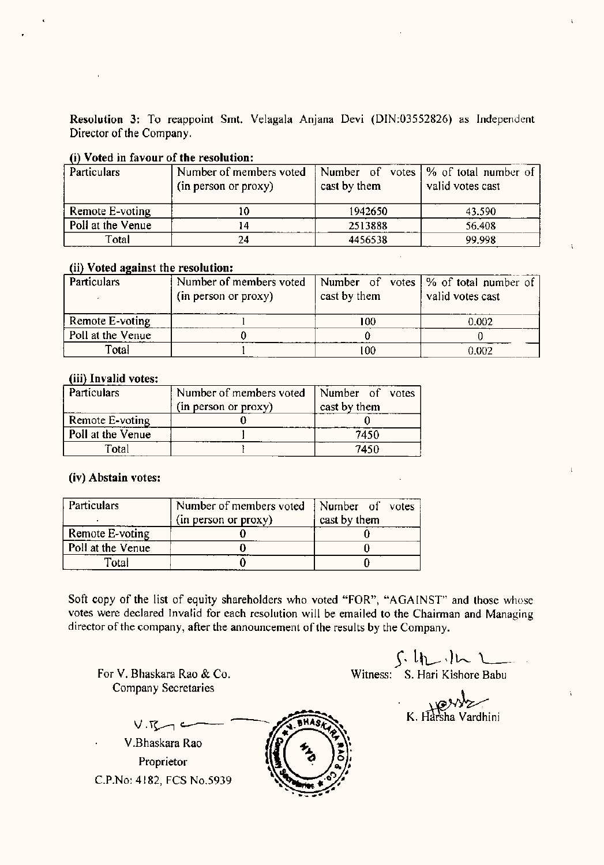Resolution 3: To reappoint Smt. Velagala Anjana Devi (DIN:03552826) as Independent Director of the Company.

#### (i) Voted in favour of the resolution:

| Particulars       | Number of members voted |              | Number of votes   % of total number of |
|-------------------|-------------------------|--------------|----------------------------------------|
|                   | (in person or proxy)    | cast by them | valid votes cast                       |
|                   |                         |              |                                        |
| Remote E-voting   | 10                      | 1942650      | 43.590                                 |
| Poll at the Venue | . 4                     | 2513888      | 56.408                                 |
| Total             | 24                      | 4456538      | 99.998                                 |

#### (ii) Voted against the resolution:

| <b>Particulars</b> | Number of members voted<br>(in person or proxy) | cast by them | Number of votes   % of total number of<br>valid votes cast |
|--------------------|-------------------------------------------------|--------------|------------------------------------------------------------|
| Remote E-voting    |                                                 | 100          | 0.002                                                      |
| Poll at the Venue  |                                                 |              |                                                            |
| Total              |                                                 | -00          | 0.002                                                      |

#### (iii) Invalid votes:

| Particulars       | Number of members voted<br>(in person or proxy) | Number of votes<br>cast by them |
|-------------------|-------------------------------------------------|---------------------------------|
| Remote E-voting   |                                                 |                                 |
| Poll at the Venue |                                                 | 7450                            |
| Total             |                                                 | 7450                            |

#### (iv) Abstain votes:

| <b>Particulars</b> | Number of members voted<br>(in person or proxy) | Number of votes<br>cast by them |
|--------------------|-------------------------------------------------|---------------------------------|
| Remote E-voting    |                                                 |                                 |
| Poll at the Venue  |                                                 |                                 |
| Total              |                                                 |                                 |

Soft copy of the list of equity shareholders who voted "FOR", "AGAINST" and those whose votes were declared Invalid for each resolution will be emailed to the Chairman and Managing director of the company, after the announcement of the results by the Company.

For V. Bhaskara Rao & Co, Company Secretaries

 $\int h(x)dx$ 

Witness: S. Hari Kishore Babu

 $K. Harsha Vardhini$ 

í.

 $V$  $K$ V.Bhaskara Rao **Proprietor** C.P.No: 4182, FCS No.5939

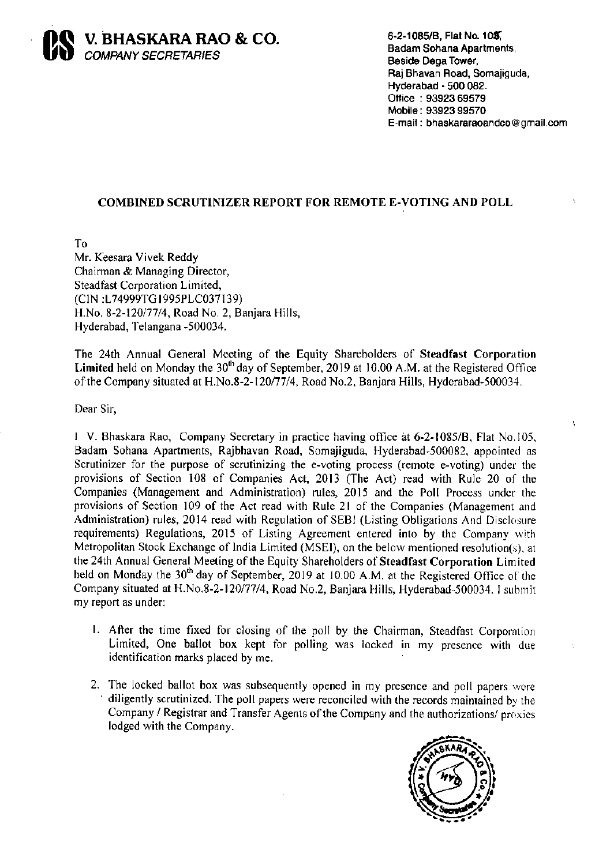

6-2-1085/B, Flat No. 105, **Badam Sohana Apartments,** Beside Dega Tower, Raj Bhavan Road, Somajiguda, Hyderabad - 500 082. Office: 93923 69579 Mobile: 93923 99570 E-mail: bhaskararaoandco@gmail.com

À

## COMBINED SCRUTINIZER REPORT FOR REMOTE E-VOTING AND POLL

To Mr. Keesara Vivek Reddy Chairman & Managing Director, Steadfast Corporation Limited, (CIN:L74999TG1995PLC037139) H.No. 8-2-120/77/4, Road No. 2, Banjara Hills, Hyderabad, Telangana -500034.

The 24th Annual General Meeting of the Equity Shareholders of Steadfast Corporation Limited held on Monday the  $30<sup>th</sup>$  day of September, 2019 at 10.00 A.M. at the Registered Office of the Company situated at H.No.8-2-120/77/4, Road No.2, Banjara Hills, Hyderabad-500034.

Dear Sir,

1 V. Bhaskara Rao, Company Secretary in practice having office at 6-2-1085/B, Flat No.105, Badam Sohana Apartments, Rajbhavan Road, Somajiguda, Hyderabad-500082, appointed as Scrutinizer for the purpose of scrutinizing the e-voting process (remote e-voting) under the provisions of Section 108 of Companies Act, 2013 (The Act) read with Rule 20 of the Companies (Management and Administration) rules, 2015 and the Poll Process under the provisions of Section 109 of the Act read with Rule 21 of the Companies (Management and Administration) rules, 2014 read with Regulation of SEBI (Listing Obligations And Disclosure requirements) Regulations, 2015 of Listing Agreement entered into by the Company with Metropolitan Stock Exchange of India Limited (MSEI), on the below mentioned resolution(s), at the 24th Annual General Meeting of the Equity Shareholders of Steadfast Corporation Limited held on Monday the 30<sup>th</sup> day of September, 2019 at 10.00 A.M. at the Registered Office of the Company situated at H.No.8-2-120/77/4, Road No.2, Banjara Hills, Hyderabad-500034. I submit my report as under:

- 1. After the time fixed for closing of the poll by the Chairman, Steadfast Corporation Limited, One ballot box kept for polling was locked in my presence with due identification marks placed by me.
- 2. The locked ballot box was subsequently opened in my presence and poll papers were  $\blacksquare$  diligently scrutinized. The poll papers were reconciled with the records maintained by the Company / Registrar and Transfer Agents of the Company and the authorizations/ proxies lodged with the Company.

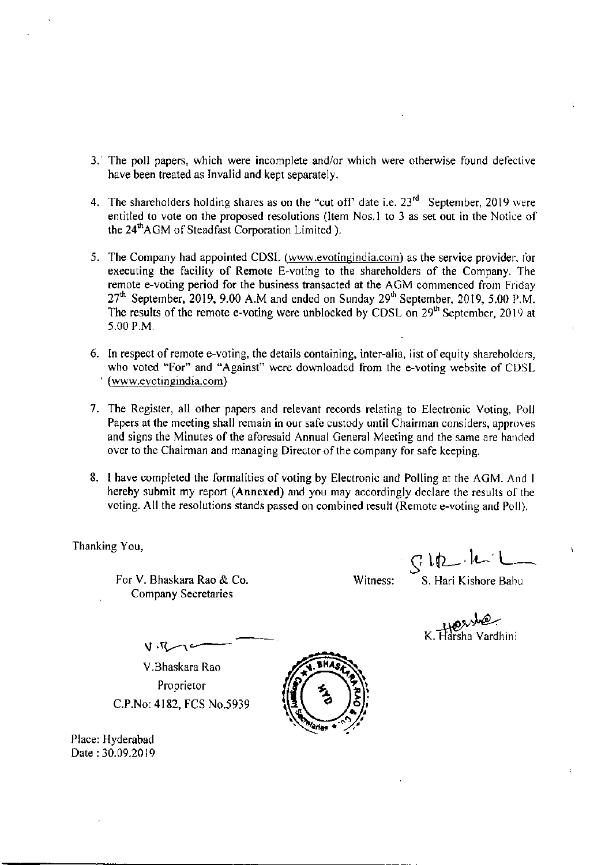- 3. The poll papers, which were incomplete and/or which were otherwise found defective have been treated as Invalid and kept separately.
- 4. The shareholders holding shares as on the "cut off" date i.e. 23<sup>rd</sup> September, 2019 were entitled to vote on the proposed resolutions (Item Nos.1 to 3 as set out in the Notice of the 24<sup>th</sup>AGM of Steadfast Corporation Limited ).
- 5. The Company had appointed CDSL (www.evotingindia.com) as the service provider, for executing the facility of Remote E-voting to the shareholders of the Company. The remote e-voting period for the business transacted at the AGM commenced from Friday 27<sup>th</sup> September, 2019, 9.00 A.M and ended on Sunday 29<sup>th</sup> September, 2019, 5.00 P.M. The results of the remote e-voting were unblocked by CDSL on 29<sup>th</sup> September, 2019 at 5.00 P.M.
- 6. In respect of remote e-voting, the details containing, inter-alia, list of equity shareholders, who voted "For" and "Against" were downloaded from the e-voting website of CDSL (www.evotingindia.com)
- 7. The Register, all other papers and relevant records relating to Electronic Voting, Poll Papers at the meeting shall remain in our safe custody until Chairman considers, approves and signs the Minutes of the aforesaid Annual General Meeting and the same are handed over to the Chairman and managing Director of the company for safe keeping.
- 8. I have completed the formalities of voting by Electronic and Polling at the AGM. And I hereby submit my report (Annexed) and you may accordingly declare the results of the voting. All the resolutions stands passed on combined result (Remote e-voting and Poll).

Thanking You,

For V. Bhaskara Rao & Co. **Company Secretaries** 

Witness:

 $CRL\cdot h$ S. Hari Kishore Babu

Reached K. Harsha Vardhini

V.Bhaskara Rao Proprietor C.P.No: 4182, FCS No.5939

 $U \cdot V$ 

Place: Hyderabad Date: 30.09.2019

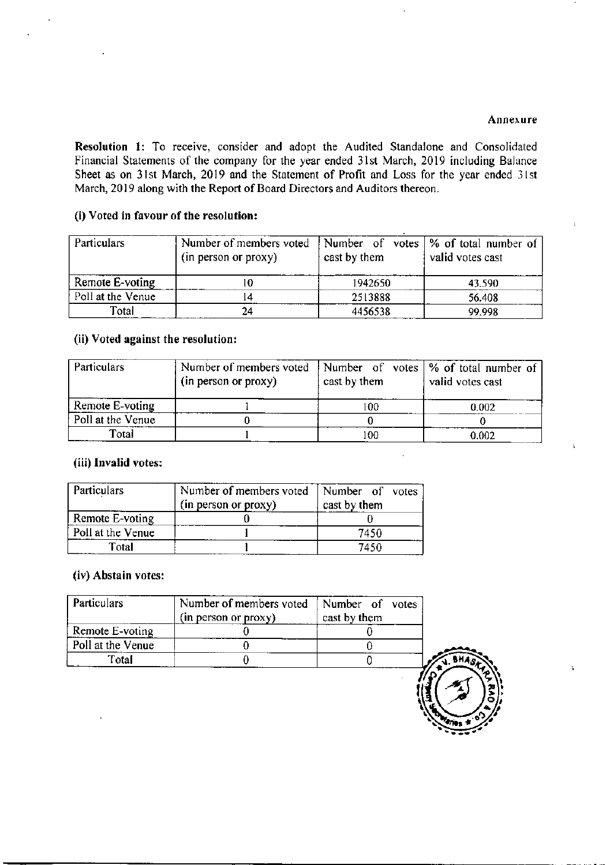#### Annexure

À

Resolution 1: To receive, consider and adopt the Audited Standalone and Consolidated Financial Statements of the company for the year ended 31st March, 2019 including Balance Sheet as on 31st March, 2019 and the Statement of Profit and Loss for the year ended 31st March, 2019 along with the Report of Board Directors and Auditors thereon.

#### (i) Voted in favour of the resolution:

| <b>Particulars</b> | Number of members voted<br>(in person or proxy) | cast by them | Number of votes $\frac{1}{6}$ of total number of<br>valid votes cast |
|--------------------|-------------------------------------------------|--------------|----------------------------------------------------------------------|
| Remote E-voting    | 0                                               | 1942650      | 43.590                                                               |
| Poll at the Venue  |                                                 | 2513888      | 56.408                                                               |
| Total              | 24                                              | 4456538      | 99.998                                                               |

#### (ii) Voted against the resolution:

| <b>Particulars</b> | Number of members voted<br>(in person or proxy) | cast by them | Number of votes $\frac{9}{6}$ of total number of<br>valid votes cast |
|--------------------|-------------------------------------------------|--------------|----------------------------------------------------------------------|
| Remote E-voting    |                                                 | 100          | 0.002                                                                |
| Poll at the Venue  |                                                 |              |                                                                      |
| Total              |                                                 | 100          | 0.002                                                                |

#### (iii) Invalid votes:

| Particulars       | Number of members voted<br>(in person or proxy) | Number of votes<br>cast by them |
|-------------------|-------------------------------------------------|---------------------------------|
| Remote E-voting   |                                                 |                                 |
| Poll at the Venue |                                                 | 7450                            |
| Total             |                                                 | 7450                            |

#### (iv) Abstain votes:

| Particulars       | Number of members voted   Number of votes<br>(in person or proxy) | cast by them |  |
|-------------------|-------------------------------------------------------------------|--------------|--|
| Remote E-voting   |                                                                   |              |  |
| Poll at the Venue |                                                                   |              |  |
| Total             |                                                                   |              |  |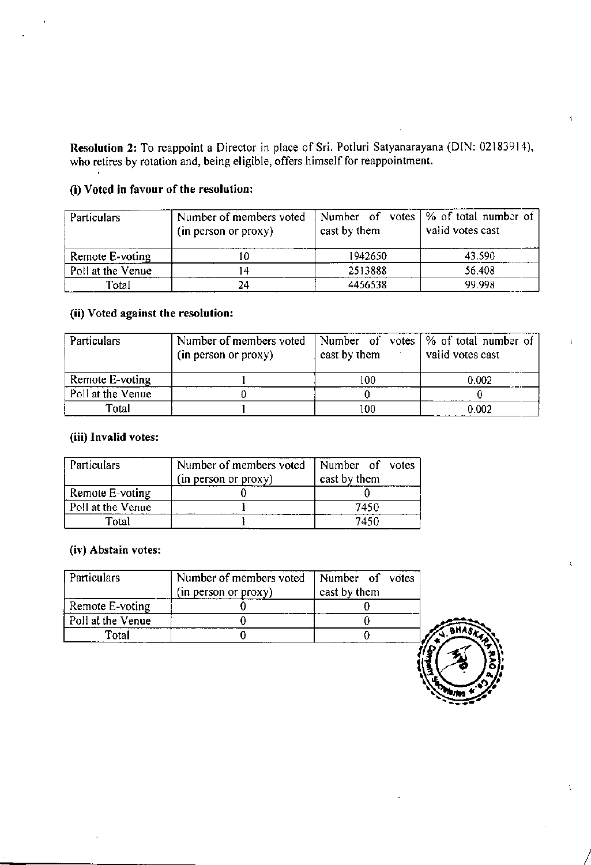Resolution 2: To reappoint a Director in place of Sri. Potluri Satyanarayana (DIN: 02183914), who retires by rotation and, being eligible, offers himself for reappointment.

## (i) Voted in favour of the resolution:

| <b>Particulars</b> | Number of members voted<br>(in person or proxy) | cast by them | Number of votes $\frac{1}{6}$ of total number of<br>valid votes cast |
|--------------------|-------------------------------------------------|--------------|----------------------------------------------------------------------|
| Remote E-voting    | l O                                             | 1942650      | 43.590                                                               |
| Poll at the Venue  | 4                                               | 2513888      | 56.408                                                               |
| Total              | 24                                              | 4456538      | 99.998                                                               |

## (ii) Voted against the resolution:

| <b>Particulars</b> | Number of members voted<br>(in person or proxy) | cast by them | Number of votes $\frac{1}{2}$ of total number of<br>valid votes cast |
|--------------------|-------------------------------------------------|--------------|----------------------------------------------------------------------|
| Remote E-voting    |                                                 | 100          | 0.002                                                                |
| Poll at the Venue  |                                                 |              |                                                                      |
| Total              |                                                 | 100          | 0.002                                                                |

## (iii) Invalid votes:

| <b>Particulars</b> | Number of members voted<br>(in person or proxy) | Number of votes<br>cast by them |
|--------------------|-------------------------------------------------|---------------------------------|
| Remote E-voting    |                                                 |                                 |
| Poll at the Venue  |                                                 | 7450                            |
| Total              |                                                 | 7450                            |

## (iv) Abstain votes:

| Particulars       | Number of members voted<br>Number of votes<br>(in person or proxy)<br>cast by them |  |  |  |
|-------------------|------------------------------------------------------------------------------------|--|--|--|
| Remote E-voting   |                                                                                    |  |  |  |
| Poll at the Venue |                                                                                    |  |  |  |
| Total             |                                                                                    |  |  |  |

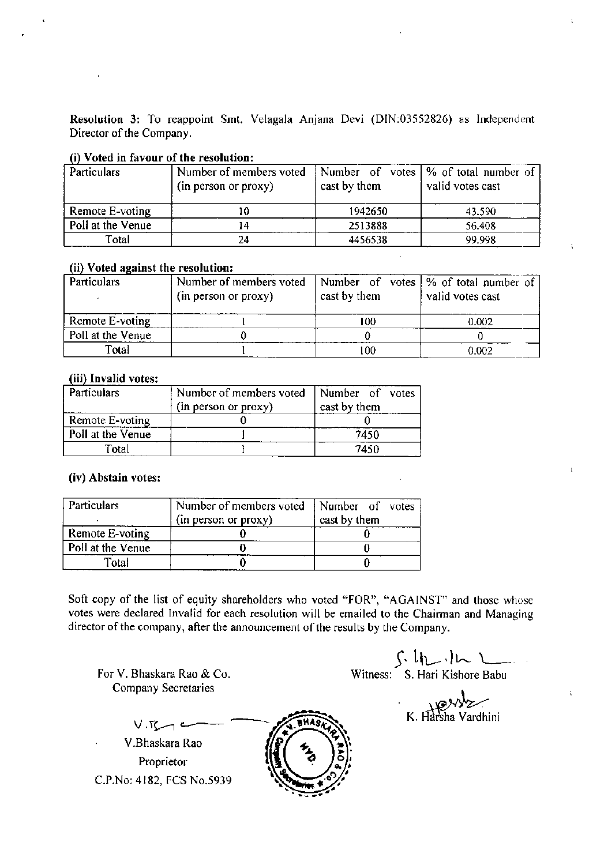Resolution 3: To reappoint Smt. Velagala Anjana Devi (DIN:03552826) as Independent Director of the Company.

#### (i) Voted in favour of the resolution:

| Particulars       | Number of members voted              |         | Number of votes   % of total number of |  |  |  |
|-------------------|--------------------------------------|---------|----------------------------------------|--|--|--|
|                   | cast by them<br>(in person or proxy) |         | valid votes cast                       |  |  |  |
|                   |                                      |         |                                        |  |  |  |
| Remote E-voting   | 10                                   | 1942650 | 43.590                                 |  |  |  |
| Poll at the Venue | . 4                                  | 2513888 | 56.408                                 |  |  |  |
| Total             | 24                                   | 4456538 | 99.998                                 |  |  |  |

#### (ii) Voted against the resolution:

| Particulars       | Number of members voted<br>(in person or proxy) | cast by them | Number of votes   % of total number of<br>valid votes cast |
|-------------------|-------------------------------------------------|--------------|------------------------------------------------------------|
| Remote E-voting   |                                                 | 100          | 0.002                                                      |
| Poll at the Venue |                                                 |              |                                                            |
| Total             |                                                 | -00          | 0.002                                                      |

#### (iii) Invalid votes:

| Particulars       | Number of members voted<br>(in person or proxy) | Number of votes<br>cast by them |
|-------------------|-------------------------------------------------|---------------------------------|
| Remote E-voting   |                                                 |                                 |
| Poll at the Venue |                                                 | 7450                            |
| Total             |                                                 | 7450                            |

#### (iv) Abstain votes:

| <b>Particulars</b> | Number of members voted<br>(in person or proxy) | Number of votes<br>cast by them |
|--------------------|-------------------------------------------------|---------------------------------|
| Remote E-voting    |                                                 |                                 |
| Poll at the Venue  |                                                 |                                 |
| Total              |                                                 |                                 |

Soft copy of the list of equity shareholders who voted "FOR", "AGAINST" and those whose votes were declared Invalid for each resolution will be emailed to the Chairman and Managing director of the company, after the announcement of the results by the Company.

For V. Bhaskara Rao & Co. Company Secretaries

 $\int \cdot l \cdot l$   $\sim$   $\int$   $\sqrt{l \cdot l}$   $\sim$   $\sqrt{l \cdot l \cdot l \cdot l}$ 

 $K. Harsha Vardhini$ 

í.

 $V.R \rightarrow$ V.Bhaskara Rao Proprietor C.P.No: 4182, FCS No.5939

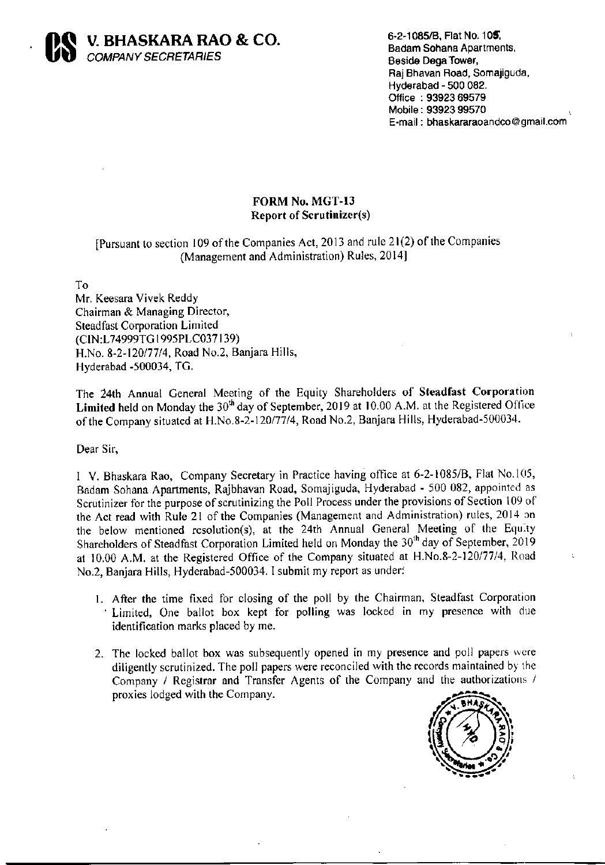

6-2-1085/B, Flat No. 105, Badam Sohana Apartments, Beside Dega Tower, Raj Bhavan Road, Somajiguda, Hyderabad - 500 082. Office: 93923 69579 Mobile: 93923 99570 E-mail: bhaskararaoandco@gmail.com

## FORM No. MGT-13 **Report of Scrutinizer(s)**

## [Pursuant to section 109 of the Companies Act, 2013 and rule 21(2) of the Companies (Management and Administration) Rules, 2014]

To

Mr. Keesara Vivek Reddy Chairman & Managing Director, **Steadfast Corporation Limited** (CIN:L74999TG1995PLC037139) H.No. 8-2-120/77/4, Road No.2, Banjara Hills, Hyderabad -500034, TG.

The 24th Annual General Meeting of the Equity Shareholders of Steadfast Corporation Limited held on Monday the  $30<sup>th</sup>$  day of September, 2019 at 10.00 A.M. at the Registered Office of the Company situated at H.No.8-2-120/77/4, Road No.2, Banjara Hills, Hyderabad-500034.

Dear Sir,

I V. Bhaskara Rao, Company Secretary in Practice having office at 6-2-1085/B, Flat No.105, Badam Sohana Apartments, Rajbhavan Road, Somajiguda, Hyderabad - 500 082, appointed as Scrutinizer for the purpose of scrutinizing the Poll Process under the provisions of Section 109 of the Act read with Rule 21 of the Companies (Management and Administration) rules, 2014 on the below mentioned resolution(s), at the 24th Annual General Meeting of the Equity Shareholders of Steadfast Corporation Limited held on Monday the 30<sup>th</sup> day of September, 2019 at 10.00 A.M. at the Registered Office of the Company situated at H.No.8-2-120/77/4, Road No.2, Banjara Hills, Hyderabad-500034. I submit my report as under:

- 1. After the time fixed for closing of the poll by the Chairman, Steadfast Corporation Limited, One ballot box kept for polling was locked in my presence with due identification marks placed by me.
- 2. The locked ballot box was subsequently opened in my presence and poll papers were diligently scrutinized. The poll papers were reconciled with the records maintained by the Company / Registrar and Transfer Agents of the Company and the authorizations / proxies lodged with the Company.

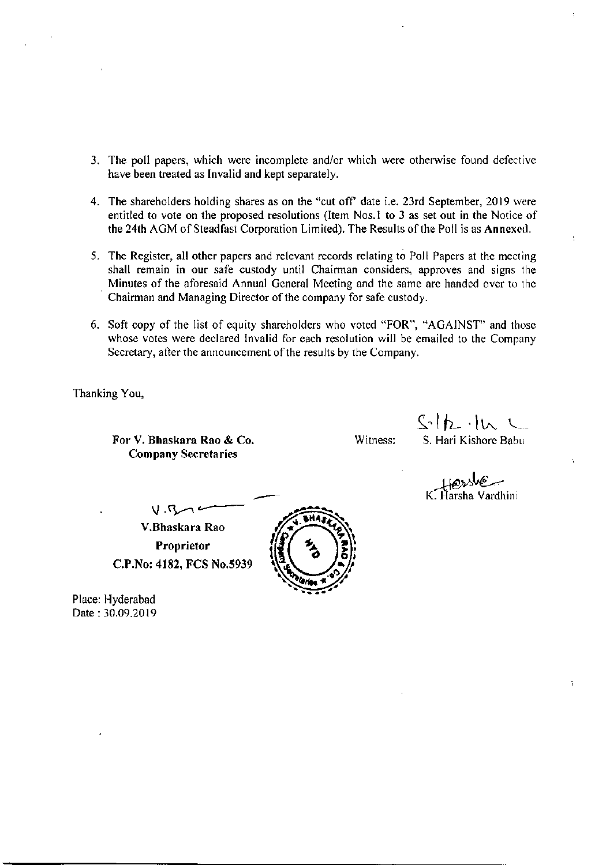- 3. The poll papers, which were incomplete and/or which were otherwise found defective have been treated as Invalid and kept separately.
- 4. The shareholders holding shares as on the "cut off" date i.e. 23rd September, 2019 were entitled to vote on the proposed resolutions (Item Nos.1 to 3 as set out in the Notice of the 24th AGM of Steadfast Corporation Limited). The Results of the Poll is as Annexed.
- 5. The Register, all other papers and relevant records relating to Poll Papers at the meeting shall remain in our safe custody until Chairman considers, approves and signs the Minutes of the aforesaid Annual General Meeting and the same are handed over to the Chairman and Managing Director of the company for safe custody.
- 6. Soft copy of the list of equity shareholders who voted "FOR", "AGAINST" and those whose votes were declared Invalid for each resolution will be emailed to the Company Secretary, after the announcement of the results by the Company.

Thanking You,

For V. Bhaskara Rao & Co. **Company Secretaries** 

Witness:

 $S-h\cdot h$ S. Hari Kishore Babu

 $\ddot{\phantom{a}}$ 

 $V.R$ V.Bhaskara Rao Proprietor C.P.No: 4182, FCS No.5939

Place: Hyderabad Date: 30.09.2019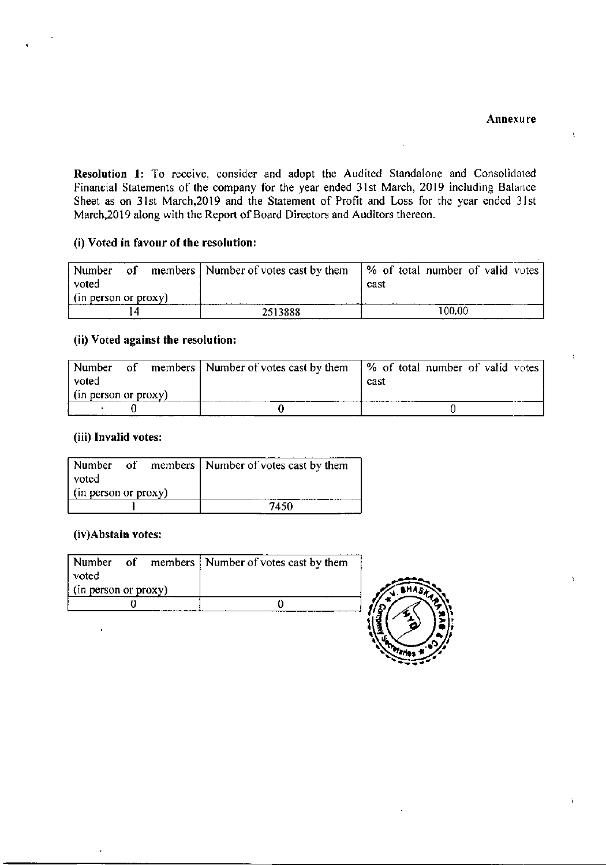$\mathbf{t}$ 

Resolution 1: To receive, consider and adopt the Audited Standalone and Consolidated Financial Statements of the company for the year ended 31st March, 2019 including Balance Sheet as on 31st March, 2019 and the Statement of Profit and Loss for the year ended 31st March, 2019 along with the Report of Board Directors and Auditors thereon.

#### (i) Voted in favour of the resolution:

| Number<br>οľ<br>voted | members   Number of votes cast by them | % of total number of valid votes <br>cast |
|-----------------------|----------------------------------------|-------------------------------------------|
| (in person or proxy)  |                                        |                                           |
|                       | 2513888                                | 100.00                                    |

#### (ii) Voted against the resolution:

| Number               | Ωt | members Number of votes cast by them 9% of total number of valid votes |      |  |  |  |
|----------------------|----|------------------------------------------------------------------------|------|--|--|--|
| voted                |    |                                                                        | cast |  |  |  |
| (in person or proxy) |    |                                                                        |      |  |  |  |
|                      |    |                                                                        |      |  |  |  |

#### (iii) Invalid votes:

|                      |  | Number of members   Number of votes cast by them |
|----------------------|--|--------------------------------------------------|
| voted                |  |                                                  |
| (in person or proxy) |  |                                                  |
|                      |  | 7450                                             |

#### (iv)Abstain votes:

| voted                       |  | Number of members   Number of votes cast by them |  |
|-----------------------------|--|--------------------------------------------------|--|
| $\int$ (in person or proxy) |  |                                                  |  |
|                             |  |                                                  |  |
|                             |  |                                                  |  |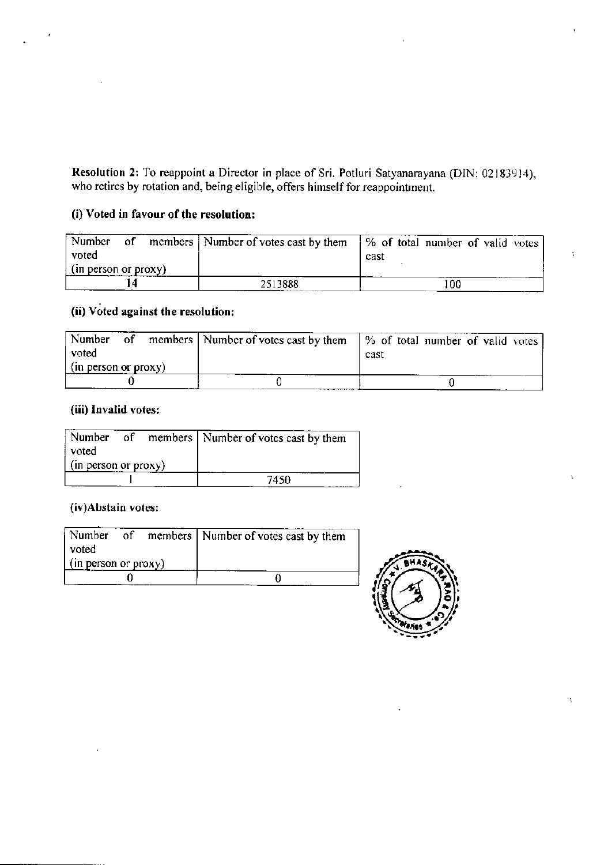Resolution 2: To reappoint a Director in place of Sri. Potluri Satyanarayana (DIN: 02183914), who retires by rotation and, being eligible, offers himself for reappointment.

## (i) Voted in favour of the resolution:

| Number<br>voted            | - of | members   Number of votes cast by them   % of total number of valid votes | cast |  |    |  |  |
|----------------------------|------|---------------------------------------------------------------------------|------|--|----|--|--|
| $\pi$ (in person or proxy) |      |                                                                           |      |  |    |  |  |
|                            |      | 2513888                                                                   |      |  | 00 |  |  |

# (ii) Voted against the resolution:

| Number<br>$\circ$ of<br>voted<br>(in person or proxy) |  | members   Number of votes cast by them   % of total number of valid votes | cast |  |  |  |
|-------------------------------------------------------|--|---------------------------------------------------------------------------|------|--|--|--|
|                                                       |  |                                                                           |      |  |  |  |

## (iii) Invalid votes:

|                             |  | Number of members Number of votes cast by them |
|-----------------------------|--|------------------------------------------------|
| voted                       |  |                                                |
| $\int$ (in person or proxy) |  |                                                |
|                             |  | 7450                                           |

#### (iv)Abstain votes:

| Number                      |  | of members   Number of votes cast by them |
|-----------------------------|--|-------------------------------------------|
| l voted                     |  |                                           |
| $\int$ (in person or proxy) |  |                                           |
|                             |  |                                           |